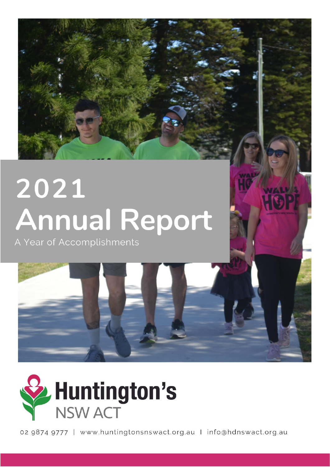# 2021 **Annual Report**

A Year of Accomplishments



02 9874 9777 | www.huntingtonsnswact.org.au | info@hdnswact.org.au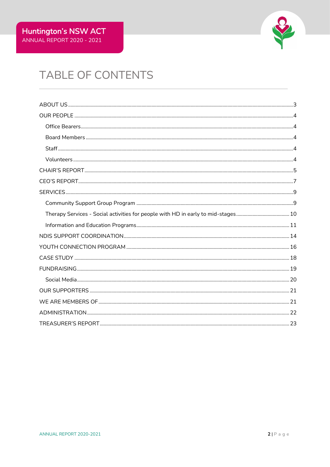

# TABLE OF CONTENTS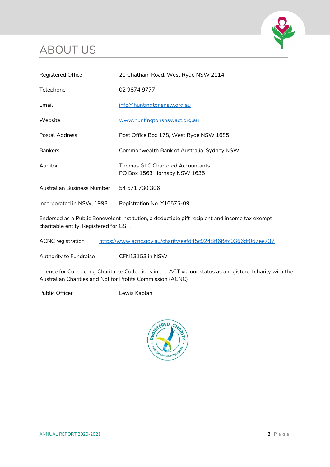# <span id="page-2-0"></span>ABOUT US



| Registered Office          | 21 Chatham Road, West Ryde NSW 2114                              |
|----------------------------|------------------------------------------------------------------|
| Telephone                  | 02 9874 9777                                                     |
| Email                      | info@huntingtonsnsw.org.au                                       |
| Website                    | www.huntingtonsnswact.org.au                                     |
| Postal Address             | Post Office Box 178, West Ryde NSW 1685                          |
| <b>Bankers</b>             | Commonwealth Bank of Australia, Sydney NSW                       |
| Auditor                    | Thomas GLC Chartered Accountants<br>PO Box 1563 Hornsby NSW 1635 |
| Australian Business Number | 54 571 730 306                                                   |
| Incorporated in NSW, 1993  | Registration No. Y16575-09                                       |

Endorsed as a Public Benevolent Institution, a deductible gift recipient and income tax exempt charitable entity. Registered for GST.

ACNC registration <https://www.acnc.gov.au/charity/eefd45c9248ff6f9fc0366df067ee737>

Authority to Fundraise CFN13153 in NSW

Licence for Conducting Charitable Collections in the ACT via our status as a registered charity with the Australian Charities and Not for Profits Commission (ACNC)

Public Officer **Lewis Kaplan** 

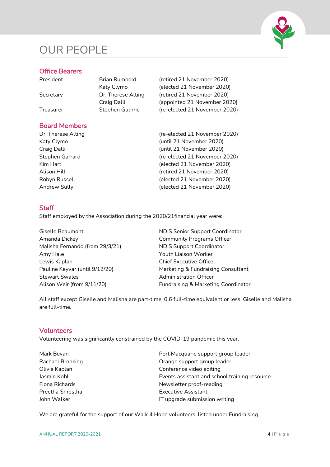# <span id="page-3-0"></span>OUR PEOPLE



### <span id="page-3-1"></span>Office Bearers

| President | Brian Rumbold      |
|-----------|--------------------|
|           | Katy Clymo         |
| Secretary | Dr. Therese Alting |
|           | Craig Dalli        |
| Treasurer | Stephen Guthrie    |
|           |                    |

# <span id="page-3-2"></span>Board Members

(retired 21 November 2020) (elected 21 November 2020) (retired 21 November 2020) (appointed 21 November 2020) (re-elected 21 November 2020)

Dr. Therese Alting (re-elected 21 November 2020) Katy Clymo (until 21 November 2020) Craig Dalli (until 21 November 2020) Stephen Garrard (re-elected 21 November 2020) Kim Hart **(elected 21 November 2020)** Alison Hill **Alison Hill** (retired 21 November 2020) Robyn Russell (elected 21 November 2020) Andrew Sully (elected 21 November 2020)

# <span id="page-3-3"></span>**Staff**

Staff employed by the Association during the 2020/21financial year were:

Amanda Dickey **Community Programs Officer** Malisha Fernando (from 29/3/21) NDIS Support Coordinator Amy Hale **Amy Hale** Youth Liaison Worker Lewis Kaplan **Chief Executive Office** Stewart Swales **Administration Officer** Administration Officer

Giselle Beaumont **NDIS** Senior Support Coordinator Pauline Keyvar (until 9/12/20) Marketing & Fundraising Consultant Alison Weir (from 9/11/20) Fundraising & Marketing Coordinator

All staff except Giselle and Malisha are part-time, 0.6 full-time equivalent or less. Giselle and Malisha are full-time.

### <span id="page-3-4"></span>Volunteers

Volunteering was significantly constrained by the COVID-19 pandemic this year.

| Mark Bevan       | Port Macquarie support group leader           |  |
|------------------|-----------------------------------------------|--|
| Rachael Brooking | Orange support group leader                   |  |
| Olivia Kaplan    | Conference video editing                      |  |
| Jasmin Kohl      | Events assistant and school training resource |  |
| Fiona Richards   | Newsletter proof-reading                      |  |
| Preetha Shrestha | Executive Assistant                           |  |
| John Walker      | IT upgrade submission writing                 |  |

We are grateful for the support of our Walk 4 Hope volunteers, listed under Fundraising.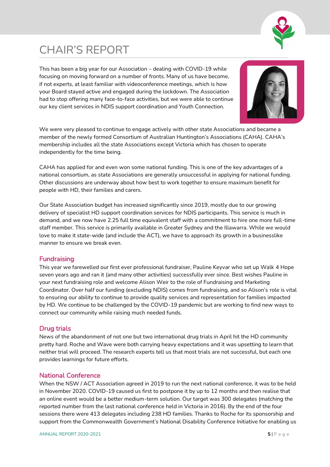

# <span id="page-4-0"></span>CHAIR'S REPORT

This has been a big year for our Association – dealing with COVID-19 while focusing on moving forward on a number of fronts. Many of us have become, if not experts, at least familiar with videoconference meetings, which is how your Board stayed active and engaged during the lockdown. The Association had to stop offering many face-to-face activities, but we were able to continue our key client services in NDIS support coordination and Youth Connection.



We were very pleased to continue to engage actively with other state Associations and became a member of the newly formed Consortium of Australian Huntington's Associations (CAHA). CAHA's membership includes all the state Associations except Victoria which has chosen to operate independently for the time being.

CAHA has applied for and even won some national funding. This is one of the key advantages of a national consortium, as state Associations are generally unsuccessful in applying for national funding. Other discussions are underway about how best to work together to ensure maximum benefit for people with HD, their families and carers.

Our State Association budget has increased significantly since 2019, mostly due to our growing delivery of specialist HD support coordination services for NDIS participants. This service is much in demand, and we now have 2.25 full time equivalent staff with a commitment to hire one more full-time staff member. This service is primarily available in Greater Sydney and the Illawarra. While we would love to make it state-wide (and include the ACT), we have to approach its growth in a businesslike manner to ensure we break even.

### **Fundraising**

This year we farewelled our first ever professional fundraiser, Pauline Keyvar who set up Walk 4 Hope seven years ago and ran it (and many other activities) successfully ever since. Best wishes Pauline in your next fundraising role and welcome Alison Weir to the role of Fundraising and Marketing Coordinator. Over half our funding (excluding NDIS) comes from fundraising, and so Alison's role is vital to ensuring our ability to continue to provide quality services and representation for families impacted by HD. We continue to be challenged by the COVID-19 pandemic but are working to find new ways to connect our community while raising much needed funds.

# Drug trials

News of the abandonment of not one but two international drug trials in April hit the HD community pretty hard. Roche and Wave were both carrying heavy expectations and it was upsetting to learn that neither trial will proceed. The research experts tell us that most trials are not successful, but each one provides learnings for future efforts.

# National Conference

When the NSW / ACT Association agreed in 2019 to run the next national conference, it was to be held in November 2020. COVID-19 caused us first to postpone it by up to 12 months and then realise that an online event would be a better medium-term solution. Our target was 300 delegates (matching the reported number from the last national conference held in Victoria in 2016). By the end of the four sessions there were 413 delegates including 238 HD families. Thanks to Roche for its sponsorship and support from the Commonwealth Government's National Disability Conference Initiative for enabling us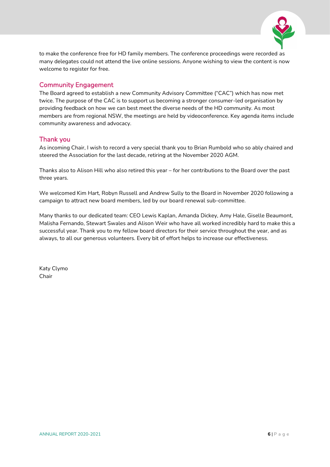

to make the conference free for HD family members. The conference proceedings were recorded as many delegates could not attend the live online sessions. Anyone wishing to view the content is now welcome to register for free.

### Community Engagement

The Board agreed to establish a new Community Advisory Committee ("CAC") which has now met twice. The purpose of the CAC is to support us becoming a stronger consumer-led organisation by providing feedback on how we can best meet the diverse needs of the HD community. As most members are from regional NSW, the meetings are held by videoconference. Key agenda items include community awareness and advocacy.

### Thank you

As incoming Chair, I wish to record a very special thank you to Brian Rumbold who so ably chaired and steered the Association for the last decade, retiring at the November 2020 AGM.

Thanks also to Alison Hill who also retired this year – for her contributions to the Board over the past three years.

We welcomed Kim Hart, Robyn Russell and Andrew Sully to the Board in November 2020 following a campaign to attract new board members, led by our board renewal sub-committee.

Many thanks to our dedicated team: CEO Lewis Kaplan, Amanda Dickey, Amy Hale, Giselle Beaumont, Malisha Fernando, Stewart Swales and Alison Weir who have all worked incredibly hard to make this a successful year. Thank you to my fellow board directors for their service throughout the year, and as always, to all our generous volunteers. Every bit of effort helps to increase our effectiveness.

Katy Clymo Chair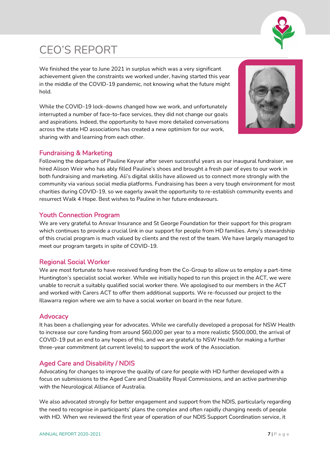

# <span id="page-6-0"></span>CEO'S REPORT

We finished the year to June 2021 in surplus which was a very significant achievement given the constraints we worked under, having started this year in the middle of the COVID-19 pandemic, not knowing what the future might hold.

While the COVID-19 lock-downs changed how we work, and unfortunately interrupted a number of face-to-face services, they did not change our goals and aspirations. Indeed, the opportunity to have more detailed conversations across the state HD associations has created a new optimism for our work, sharing with and learning from each other.



# Fundraising & Marketing

Following the departure of Pauline Keyvar after seven successful years as our inaugural fundraiser, we hired Alison Weir who has ably filled Pauline's shoes and brought a fresh pair of eyes to our work in both fundraising and marketing. Ali's digital skills have allowed us to connect more strongly with the community via various social media platforms. Fundraising has been a very tough environment for most charities during COVID-19, so we eagerly await the opportunity to re-establish community events and resurrect Walk 4 Hope. Best wishes to Pauline in her future endeavours.

# Youth Connection Program

We are very grateful to Ansvar Insurance and St George Foundation for their support for this program which continues to provide a crucial link in our support for people from HD families. Amy's stewardship of this crucial program is much valued by clients and the rest of the team. We have largely managed to meet our program targets in spite of COVID-19.

# Regional Social Worker

We are most fortunate to have received funding from the Co-Group to allow us to employ a part-time Huntington's specialist social worker. While we initially hoped to run this project in the ACT, we were unable to recruit a suitably qualified social worker there. We apologised to our members in the ACT and worked with Carers ACT to offer them additional supports. We re-focussed our project to the Illawarra region where we aim to have a social worker on board in the near future.

### **Advocacy**

It has been a challenging year for advocates. While we carefully developed a proposal for NSW Health to increase our core funding from around \$60,000 per year to a more realistic \$500,000, the arrival of COVID-19 put an end to any hopes of this, and we are grateful to NSW Health for making a further three-year commitment (at current levels) to support the work of the Association.

# Aged Care and Disability / NDIS

Advocating for changes to improve the quality of care for people with HD further developed with a focus on submissions to the Aged Care and Disability Royal Commissions, and an active partnership with the Neurological Alliance of Australia.

We also advocated strongly for better engagement and support from the NDIS, particularly regarding the need to recognise in participants' plans the complex and often rapidly changing needs of people with HD. When we reviewed the first year of operation of our NDIS Support Coordination service, it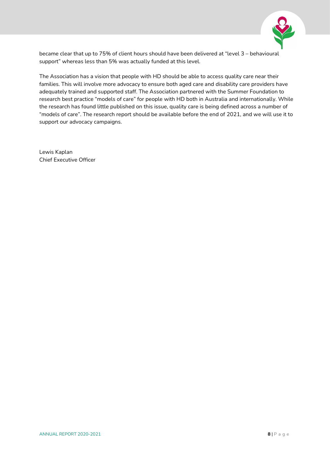

became clear that up to 75% of client hours should have been delivered at "level 3 – behavioural support" whereas less than 5% was actually funded at this level.

The Association has a vision that people with HD should be able to access quality care near their families. This will involve more advocacy to ensure both aged care and disability care providers have adequately trained and supported staff. The Association partnered with the Summer Foundation to research best practice "models of care" for people with HD both in Australia and internationally. While the research has found little published on this issue, quality care is being defined across a number of "models of care". The research report should be available before the end of 2021, and we will use it to support our advocacy campaigns.

Lewis Kaplan Chief Executive Officer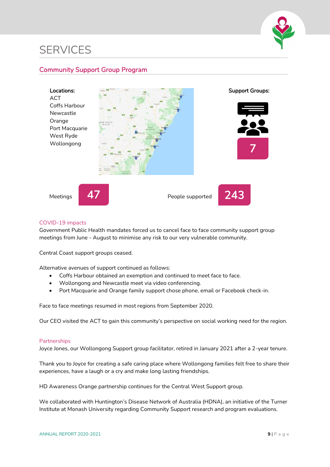

# <span id="page-8-0"></span>**SERVICES**

# <span id="page-8-1"></span>Community Support Group Program



#### COVID-19 impacts

Government Public Health mandates forced us to cancel face to face community support group meetings from June - August to minimise any risk to our very vulnerable community.

Central Coast support groups ceased.

Alternative avenues of support continued as follows:

- Coffs Harbour obtained an exemption and continued to meet face to face.
- Wollongong and Newcastle meet via video conferencing.
- Port Macquarie and Orange family support chose phone, email or Facebook check-in.

Face to face meetings resumed in most regions from September 2020.

Our CEO visited the ACT to gain this community's perspective on social working need for the region.

#### **Partnerships**

Joyce Jones, our Wollongong Support group facilitator, retired in January 2021 after a 2-year tenure.

Thank you to Joyce for creating a safe caring place where Wollongong families felt free to share their experiences, have a laugh or a cry and make long lasting friendships.

HD Awareness Orange partnership continues for the Central West Support group.

We collaborated with Huntington's Disease Network of Australia (HDNA), an initiative of the Turner Institute at Monash University regarding Community Support research and program evaluations.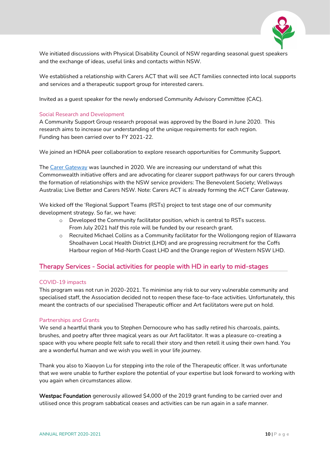

We initiated discussions with Physical Disability Council of NSW regarding seasonal guest speakers and the exchange of ideas, useful links and contacts within NSW.

We established a relationship with Carers ACT that will see ACT families connected into local supports and services and a therapeutic support group for interested carers.

Invited as a guest speaker for the newly endorsed Community Advisory Committee (CAC).

#### Social Research and Development

A Community Support Group research proposal was approved by the Board in June 2020. This research aims to increase our understanding of the unique requirements for each region. Funding has been carried over to FY 2021-22.

We joined an HDNA peer collaboration to explore research opportunities for Community Support.

The [Carer Gateway](https://www.carergateway.gov.au/) was launched in 2020. We are increasing our understand of what this Commonwealth initiative offers and are advocating for clearer support pathways for our carers through the formation of relationships with the NSW service providers: The Benevolent Society; Wellways Australia; Live Better and Carers NSW. Note: Carers ACT is already forming the ACT Carer Gateway.

We kicked off the 'Regional Support Teams (RSTs) project to test stage one of our community development strategy. So far, we have:

- o Developed the Community facilitator position, which is central to RSTs success. From July 2021 half this role will be funded by our research grant.
- o Recruited Michael Collins as a Community facilitator for the Wollongong region of Illawarra Shoalhaven Local Health District (LHD) and are progressing recruitment for the Coffs Harbour region of Mid-North Coast LHD and the Orange region of Western NSW LHD.

### <span id="page-9-0"></span>Therapy Services - Social activities for people with HD in early to mid-stages

#### COVID-19 impacts

This program was not run in 2020-2021. To minimise any risk to our very vulnerable community and specialised staff, the Association decided not to reopen these face-to-face activities. Unfortunately, this meant the contracts of our specialised Therapeutic officer and Art facilitators were put on hold.

#### Partnerships and Grants

We send a heartful thank you to Stephen Dernocoure who has sadly retired his charcoals, paints, brushes, and poetry after three magical years as our Art facilitator. It was a pleasure co-creating a space with you where people felt safe to recall their story and then retell it using their own hand. You are a wonderful human and we wish you well in your life journey.

Thank you also to Xiaoyon Lu for stepping into the role of the Therapeutic officer. It was unfortunate that we were unable to further explore the potential of your expertise but look forward to working with you again when circumstances allow.

Westpac Foundation generously allowed \$4,000 of the 2019 grant funding to be carried over and utilised once this program sabbatical ceases and activities can be run again in a safe manner.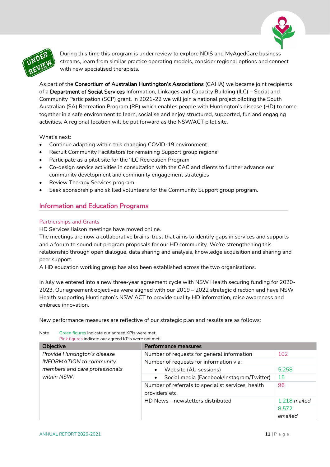



During this time this program is under review to explore NDIS and MyAgedCare business streams, learn from similar practice operating models, consider regional options and connect with new specialised therapists.

As part of the Consortium of Australian Huntington's Associations (CAHA) we became joint recipients of a Department of Social Services Information, Linkages and Capacity Building (ILC) – Social and Community Participation (SCP) grant. In 2021-22 we will join a national project piloting the South Australian (SA) Recreation Program (RP) which enables people with Huntington's disease (HD) to come together in a safe environment to learn, socialise and enjoy structured, supported, fun and engaging activities. A regional location will be put forward as the NSW/ACT pilot site.

What's next:

- Continue adapting within this changing COVID-19 environment
- Recruit Community Facilitators for remaining Support group regions
- Participate as a pilot site for the 'ILC Recreation Program'
- Co-design service activities in consultation with the CAC and clients to further advance our community development and community engagement strategies
- Review Therapy Services program.
- Seek sponsorship and skilled volunteers for the Community Support group program.

# <span id="page-10-0"></span>Information and Education Programs

#### Partnerships and Grants

HD Services liaison meetings have moved online.

The meetings are now a collaborative brains-trust that aims to identify gaps in services and supports and a forum to sound out program proposals for our HD community. We're strengthening this relationship through open dialogue, data sharing and analysis, knowledge acquisition and sharing and peer support.

A HD education working group has also been established across the two organisations.

In July we entered into a new three-year agreement cycle with NSW Health securing funding for 2020- 2023. Our agreement objectives were aligned with our 2019 – 2022 strategic direction and have NSW Health supporting Huntington's NSW ACT to provide quality HD information, raise awareness and embrace innovation.

New performance measures are reflective of our strategic plan and results are as follows:

Note Green figures indicate our agreed KPIs were met Pink figures indicate our agreed KPIs were not met

| Objective                       | <b>Performance measures</b>                                          |                  |
|---------------------------------|----------------------------------------------------------------------|------------------|
| Provide Huntington's disease    | Number of requests for general information                           | 102              |
| <b>INFORMATION</b> to community | Number of requests for information via:                              |                  |
| members and care professionals  | Website (AU sessions)<br>$\bullet$                                   | 5,258            |
| within NSW.                     | Social media (Facebook/Instagram/Twitter)<br>$\bullet$               | 15               |
|                                 | Number of referrals to specialist services, health<br>providers etc. | 96               |
|                                 | HD News - newsletters distributed                                    | 1,218 mailed     |
|                                 |                                                                      | 8,572<br>emailed |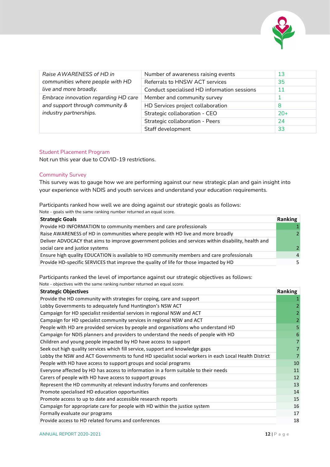

| Raise AWARENESS of HD in             | Number of awareness raising events          | 13    |
|--------------------------------------|---------------------------------------------|-------|
| communities where people with HD     | Referrals to HNSW ACT services              | 35    |
| live and more broadly.               | Conduct specialised HD information sessions | 11    |
| Embrace innovation regarding HD care | Member and community survey                 |       |
| and support through community &      | HD Services project collaboration           | 8     |
| industry partnerships.               | Strategic collaboration - CEO               | $20+$ |
|                                      | Strategic collaboration - Peers             | 24    |
|                                      | Staff development                           | 33    |

#### Student Placement Program

Not run this year due to COVID-19 restrictions.

#### Community Survey

This survey was to gauge how we are performing against our new strategic plan and gain insight into your experience with NDIS and youth services and understand your education requirements.

Participants ranked how well we are doing against our strategic goals as follows:

| Note - goals with the same ranking number returned an equal score. |  |  |
|--------------------------------------------------------------------|--|--|
|                                                                    |  |  |

| <b>Strategic Goals</b>                                                                               | Ranking        |
|------------------------------------------------------------------------------------------------------|----------------|
| Provide HD INFORMATION to community members and care professionals                                   |                |
| Raise AWARENESS of HD in communities where people with HD live and more broadly                      |                |
| Deliver ADVOCACY that aims to improve government policies and services within disability, health and |                |
| social care and justice systems                                                                      | $\mathcal{P}$  |
| Ensure high quality EDUCATION is available to HD community members and care professionals            | $\overline{a}$ |
| Provide HD-specific SERVICES that improve the quality of life for those impacted by HD               |                |

Participants ranked the level of importance against our strategic objectives as follows:

Note - objectives with the same ranking number returned an equal score.

| <b>Strategic Objectives</b>                                                                          | Ranking |
|------------------------------------------------------------------------------------------------------|---------|
| Provide the HD community with strategies for coping, care and support                                |         |
| Lobby Governments to adequately fund Huntington's NSW ACT                                            |         |
| Campaign for HD specialist residential services in regional NSW and ACT                              |         |
| Campaign for HD specialist community services in regional NSW and ACT                                |         |
| People with HD are provided services by people and organisations who understand HD                   |         |
| Campaign for NDIS planners and providers to understand the needs of people with HD                   |         |
| Children and young people impacted by HD have access to support                                      |         |
| Seek out high quality services which fill service, support and knowledge gaps                        |         |
| Lobby the NSW and ACT Governments to fund HD specialist social workers in each Local Health District |         |
| People with HD have access to support groups and social programs                                     | 10      |
| Everyone affected by HD has access to information in a form suitable to their needs                  | 11      |
| Carers of people with HD have access to support groups                                               | 12      |
| Represent the HD community at relevant industry forums and conferences                               | 13      |
| Promote specialised HD education opportunities                                                       | 14      |
| Promote access to up to date and accessible research reports                                         | 15      |
| Campaign for appropriate care for people with HD within the justice system                           | 16      |
| Formally evaluate our programs                                                                       | 17      |
| Provide access to HD related forums and conferences                                                  | 18      |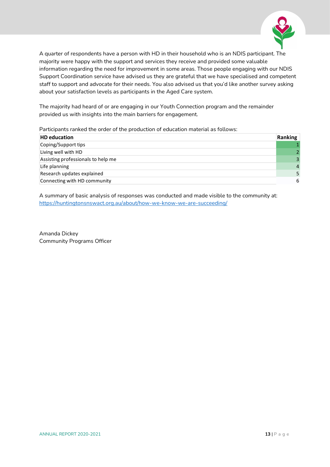

A quarter of respondents have a person with HD in their household who is an NDIS participant. The majority were happy with the support and services they receive and provided some valuable information regarding the need for improvement in some areas. Those people engaging with our NDIS Support Coordination service have advised us they are grateful that we have specialised and competent staff to support and advocate for their needs. You also advised us that you'd like another survey asking about your satisfaction levels as participants in the Aged Care system.

The majority had heard of or are engaging in our Youth Connection program and the remainder provided us with insights into the main barriers for engagement.

Participants ranked the order of the production of education material as follows:

| <b>HD</b> education                | Ranking        |
|------------------------------------|----------------|
| Coping/Support tips                |                |
| Living well with HD                |                |
| Assisting professionals to help me |                |
| Life planning                      | $\overline{a}$ |
| Research updates explained         |                |
| Connecting with HD community       | 6              |

A summary of basic analysis of responses was conducted and made visible to the community at: <https://huntingtonsnswact.org.au/about/how-we-know-we-are-succeeding/>

Amanda Dickey Community Programs Officer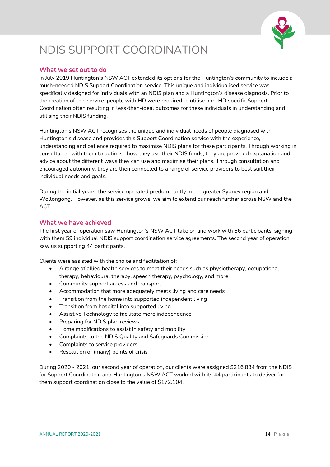

# <span id="page-13-0"></span>NDIS SUPPORT COORDINATION

### What we set out to do

In July 2019 Huntington's NSW ACT extended its options for the Huntington's community to include a much-needed NDIS Support Coordination service. This unique and individualised service was specifically designed for individuals with an NDIS plan and a Huntington's disease diagnosis. Prior to the creation of this service, people with HD were required to utilise non-HD specific Support Coordination often resulting in less-than-ideal outcomes for these individuals in understanding and utilising their NDIS funding.

Huntington's NSW ACT recognises the unique and individual needs of people diagnosed with Huntington's disease and provides this Support Coordination service with the experience, understanding and patience required to maximise NDIS plans for these participants. Through working in consultation with them to optimise how they use their NDIS funds, they are provided explanation and advice about the different ways they can use and maximise their plans. Through consultation and encouraged autonomy, they are then connected to a range of service providers to best suit their individual needs and goals.

During the initial years, the service operated predominantly in the greater Sydney region and Wollongong. However, as this service grows, we aim to extend our reach further across NSW and the ACT.

### What we have achieved

The first year of operation saw Huntington's NSW ACT take on and work with 36 participants, signing with them 59 individual NDIS support coordination service agreements. The second year of operation saw us supporting 44 participants.

Clients were assisted with the choice and facilitation of:

- A range of allied health services to meet their needs such as physiotherapy, occupational therapy, behavioural therapy, speech therapy, psychology, and more
- Community support access and transport
- Accommodation that more adequately meets living and care needs
- Transition from the home into supported independent living
- Transition from hospital into supported living
- Assistive Technology to facilitate more independence
- Preparing for NDIS plan reviews
- Home modifications to assist in safety and mobility
- Complaints to the NDIS Quality and Safeguards Commission
- Complaints to service providers
- Resolution of (many) points of crisis

During 2020 - 2021, our second year of operation, our clients were assigned \$216,834 from the NDIS for Support Coordination and Huntington's NSW ACT worked with its 44 participants to deliver for them support coordination close to the value of \$172,104.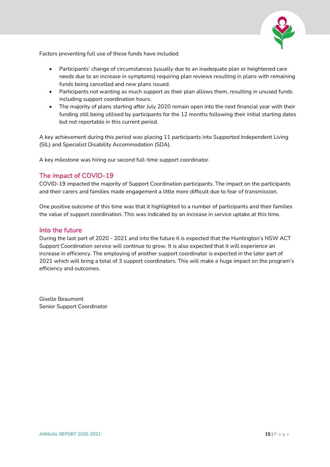

Factors preventing full use of these funds have included:

- Participants' change of circumstances (usually due to an inadequate plan or heightened care needs due to an increase in symptoms) requiring plan reviews resulting in plans with remaining funds being cancelled and new plans issued.
- Participants not wanting as much support as their plan allows them, resulting in unused funds including support coordination hours.
- The majority of plans starting after July 2020 remain open into the next financial year with their funding still being utilised by participants for the 12 months following their initial starting dates but not reportable in this current period.

A key achievement during this period was placing 11 participants into Supported Independent Living (SIL) and Specialist Disability Accommodation (SDA).

A key milestone was hiring our second full-time support coordinator.

### The impact of COVID-19

COVID-19 impacted the majority of Support Coordination participants. The impact on the participants and their carers and families made engagement a little more difficult due to fear of transmission.

One positive outcome of this time was that it highlighted to a number of participants and their families the value of support coordination. This was indicated by an increase in service uptake at this time.

#### Into the future

During the last part of 2020 - 2021 and into the future it is expected that the Huntington's NSW ACT Support Coordination service will continue to grow. It is also expected that it will experience an increase in efficiency. The employing of another support coordinator is expected in the later part of 2021 which will bring a total of 3 support coordinators. This will make a huge impact on the program's efficiency and outcomes.

Giselle Beaumont Senior Support Coordinator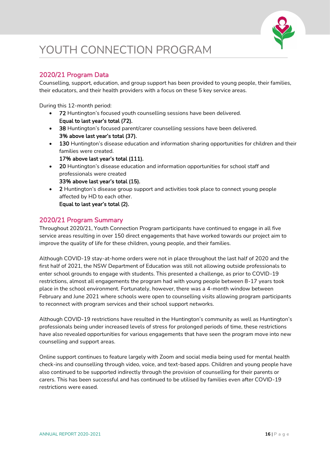

# <span id="page-15-0"></span>YOUTH CONNECTION PROGRAM

# 2020/21 Program Data

Counselling, support, education, and group support has been provided to young people, their families, their educators, and their health providers with a focus on these 5 key service areas.

During this 12-month period:

- 72 Huntington's focused youth counselling sessions have been delivered. Equal to last year's total (72).
- 38 Huntington's focused parent/carer counselling sessions have been delivered. 3% above last year's total (37).
- 130 Huntington's disease education and information sharing opportunities for children and their families were created. 17% above last year's total (111).
- 20 Huntington's disease education and information opportunities for school staff and professionals were created 33% above last year's total (15).
- 2 Huntington's disease group support and activities took place to connect young people affected by HD to each other.

Equal to last year's total (2).

# 2020/21 Program Summary

Throughout 2020/21, Youth Connection Program participants have continued to engage in all five service areas resulting in over 150 direct engagements that have worked towards our project aim to improve the quality of life for these children, young people, and their families.

Although COVID-19 stay-at-home orders were not in place throughout the last half of 2020 and the first half of 2021, the NSW Department of Education was still not allowing outside professionals to enter school grounds to engage with students. This presented a challenge, as prior to COVID-19 restrictions, almost all engagements the program had with young people between 8-17 years took place in the school environment. Fortunately, however, there was a 4-month window between February and June 2021 where schools were open to counselling visits allowing program participants to reconnect with program services and their school support networks.

Although COVID-19 restrictions have resulted in the Huntington's community as well as Huntington's professionals being under increased levels of stress for prolonged periods of time, these restrictions have also revealed opportunities for various engagements that have seen the program move into new counselling and support areas.

Online support continues to feature largely with Zoom and social media being used for mental health check-ins and counselling through video, voice, and text-based apps. Children and young people have also continued to be supported indirectly through the provision of counselling for their parents or carers. This has been successful and has continued to be utilised by families even after COVID-19 restrictions were eased.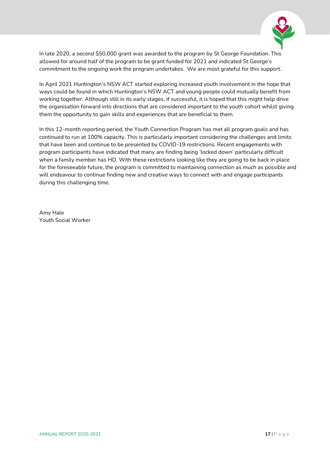

In late 2020, a second \$50,000 grant was awarded to the program by St George Foundation. This allowed for around half of the program to be grant funded for 2021 and indicated St George's commitment to the ongoing work the program undertakes. We are most grateful for this support.

In April 2021 Huntington's NSW ACT started exploring increased youth involvement in the hope that ways could be found in which Huntington's NSW ACT and young people could mutually benefit from working together. Although still in its early stages, if successful, it is hoped that this might help drive the organisation forward into directions that are considered important to the youth cohort whilst giving them the opportunity to gain skills and experiences that are beneficial to them.

In this 12-month reporting period, the Youth Connection Program has met all program goals and has continued to run at 100% capacity. This is particularly important considering the challenges and limits that have been and continue to be presented by COVID-19 restrictions. Recent engagements with program participants have indicated that many are finding being 'locked down' particularly difficult when a family member has HD. With these restrictions looking like they are going to be back in place for the foreseeable future, the program is committed to maintaining connection as much as possible and will endeavour to continue finding new and creative ways to connect with and engage participants during this challenging time.

Amy Hale Youth Social Worker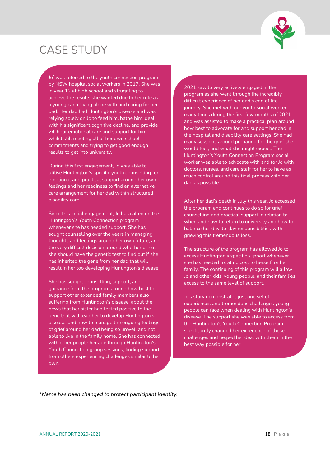# <span id="page-17-0"></span>CASE STUDY



Jo\* was referred to the youth connection program by NSW hospital social workers in 2017. She was in year 12 at high school and struggling to achieve the results she wanted due to her role as a young carer living alone with and caring for her dad. Her dad had Huntington's disease and was relying solely on Jo to feed him, bathe him, deal with his significant cognitive decline, and provide 24-hour emotional care and support for him whilst still meeting all of her own school commitments and trying to get good enough results to get into university.

During this first engagement, Jo was able to utilise Huntington's specific youth counselling for emotional and practical support around her own feelings and her readiness to find an alternative care arrangement for her dad within structured disability care.

Since this initial engagement, Jo has called on the Huntington's Youth Connection program whenever she has needed support. She has sought counselling over the years in managing thoughts and feelings around her own future, and the very difficult decision around whether or not she should have the genetic test to find out if she has inherited the gene from her dad that will result in her too developing Huntington's disease.

She has sought counselling, support, and guidance from the program around how best to support other extended family members also suffering from Huntington's disease, about the news that her sister had tested positive to the gene that will lead her to develop Huntington's disease, and how to manage the ongoing feelings of grief around her dad being so unwell and not able to live in the family home. She has connected with other people her age through Huntington's Youth Connection group sessions, finding support from others experiencing challenges similar to her own.

2021 saw Jo very actively engaged in the program as she went through the incredibly difficult experience of her dad's end of life journey. She met with our youth social worker many times during the first few months of 2021 and was assisted to make a practical plan around how best to advocate for and support her dad in the hospital and disability care settings. She had many sessions around preparing for the grief she would feel, and what she might expect. The Huntington's Youth Connection Program social worker was able to advocate with and for Jo with doctors, nurses, and care staff for her to have as much control around this final process with her dad as possible.

After her dad's death in July this year, Jo accessed the program and continues to do so for grief counselling and practical support in relation to when and how to return to university and how to balance her day-to-day responsibilities with grieving this tremendous loss.

The structure of the program has allowed Jo to access Huntington's specific support whenever she has needed to, at no cost to herself, or her family. The continuing of this program will allow Jo and other kids, young people, and their families access to the same level of support.

Jo's story demonstrates just one set of experiences and tremendous challenges young people can face when dealing with Huntington's disease. The support she was able to access from the Huntington's Youth Connection Program significantly changed her experience of these challenges and helped her deal with them in the best way possible for her.

Ī

*\*Name has been changed to protect participant identity.*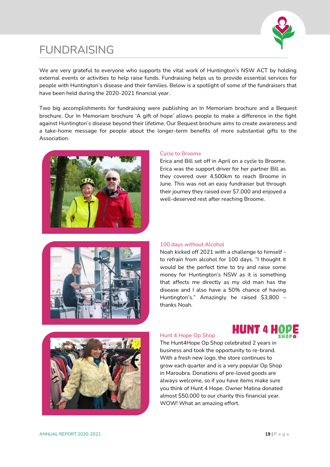

# <span id="page-18-0"></span>FUNDRAISING

We are very grateful to everyone who supports the vital work of Huntington's NSW ACT by holding external events or activities to help raise funds. Fundraising helps us to provide essential services for people with Huntington's disease and their families. Below is a spotlight of some of the fundraisers that have been held during the 2020-2021 financial year.

Two big accomplishments for fundraising were publishing an In Memoriam brochure and a Bequest brochure. Our In Memoriam brochure 'A gift of hope' allows people to make a difference in the fight against Huntington's disease beyond their lifetime. Our Bequest brochure aims to create awareness and a take-home message for people about the longer-term benefits of more substantial gifts to the Association.



#### Cycle to Broome

Erica and Bill set off in April on a cycle to Broome. Erica was the support driver for her partner Bill as they covered over 4,500km to reach Broome in June. This was not an easy fundraiser but through their journey they raised over \$7,000 and enjoyed a well-deserved rest after reaching Broome.



#### 100 days without Alcohol

Noah kicked off 2021 with a challenge to himself to refrain from alcohol for 100 days. "I thought it would be the perfect time to try and raise some money for Huntington's NSW as it is something that affects me directly as my old man has the disease and I also have a 50% chance of having Huntington's." Amazingly he raised \$3,800 – thanks Noah.



**HUNT 4 HOPE** 



The Hunt4Hope Op Shop celebrated 2 years in business and took the opportunity to re-brand. With a fresh new logo, the store continues to grow each quarter and is a very popular Op Shop in Maroubra. Donations of pre-loved goods are always welcome, so if you have items make sure you think of Hunt 4 Hope. Owner Matina donated almost \$50,000 to our charity this financial year. WOW! What an amazing effort.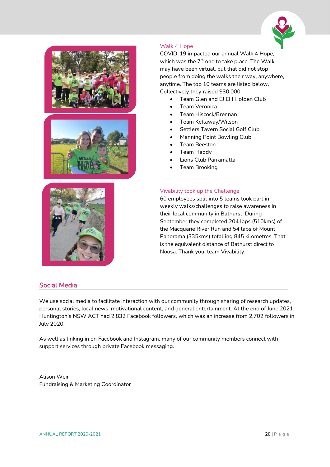





#### Walk 4 Hope

COVID-19 impacted our annual Walk 4 Hope, which was the  $7<sup>th</sup>$  one to take place. The Walk may have been virtual, but that did not stop people from doing the walks their way, anywhere, anytime. The top 10 teams are listed below. Collectively they raised \$30,000.

- Team Glen and EJ EH Holden Club
- Team Veronica
- Team Hiscock/Brennan
- Team Kellaway/Wilson
- Settlers Tavern Social Golf Club
- Manning Point Bowling Club
- Team Beeston
- Team Haddy
- Lions Club Parramatta
- Team Brooking

#### Vivability took up the Challenge

60 employees split into 5 teams took part in weekly walks/challenges to raise awareness in their local community in Bathurst. During September they completed 204 laps (510kms) of the Macquarie River Run and 54 laps of Mount Panorama (335kms) totalling 845 kilometres. That is the equivalent distance of Bathurst direct to Noosa. Thank you, team Vivability.

### <span id="page-19-0"></span>Social Media

We use social media to facilitate interaction with our community through sharing of research updates, personal stories, local news, motivational content, and general entertainment. At the end of June 2021 Huntington's NSW ACT had 2,832 Facebook followers, which was an increase from 2,702 followers in July 2020.

As well as linking in on Facebook and Instagram, many of our community members connect with support services through private Facebook messaging.

Alison Weir Fundraising & Marketing Coordinator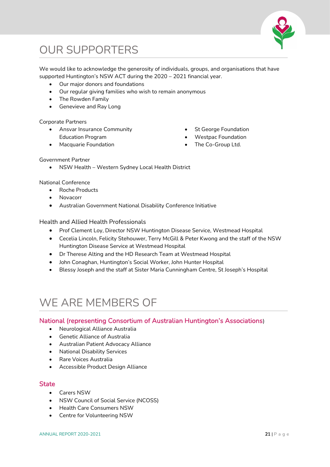

# <span id="page-20-0"></span>OUR SUPPORTERS

We would like to acknowledge the generosity of individuals, groups, and organisations that have supported Huntington's NSW ACT during the 2020 – 2021 financial year.

- Our major donors and foundations
- Our regular giving families who wish to remain anonymous
- The Rowden Family
- Genevieve and Ray Long

#### Corporate Partners

- Ansvar Insurance Community Education Program
- Macquarie Foundation
- St George Foundation
- Westpac Foundation
- The Co-Group Ltd.

#### Government Partner

• NSW Health – Western Sydney Local Health District

#### National Conference

- Roche Products
- Novacorr
- Australian Government National Disability Conference Initiative

#### Health and Allied Health Professionals

- Prof Clement Loy, Director NSW Huntington Disease Service, Westmead Hospital
- Cecelia Lincoln, Felicity Stehouwer, Terry McGill & Peter Kwong and the staff of the NSW Huntington Disease Service at Westmead Hospital
- Dr Therese Alting and the HD Research Team at Westmead Hospital
- John Conaghan, Huntington's Social Worker, John Hunter Hospital
- Blessy Joseph and the staff at Sister Maria Cunningham Centre, St Joseph's Hospital

# <span id="page-20-1"></span>WE ARE MEMBERS OF

### National (representing Consortium of Australian Huntington's Associations)

- Neurological Alliance Australia
- Genetic Alliance of Australia
- Australian Patient Advocacy Alliance
- National Disability Services
- Rare Voices Australia
- Accessible Product Design Alliance

### **State**

- Carers NSW
- NSW Council of Social Service (NCOSS)
- Health Care Consumers NSW
- <span id="page-20-2"></span>• Centre for Volunteering NSW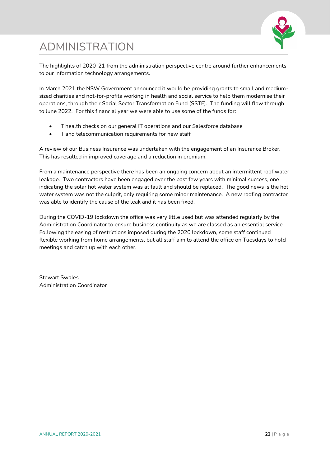# ADMINISTRATION



The highlights of 2020-21 from the administration perspective centre around further enhancements to our information technology arrangements.

In March 2021 the NSW Government announced it would be providing grants to small and mediumsized charities and not-for-profits working in health and social service to help them modernise their operations, through their Social Sector Transformation Fund (SSTF). The funding will flow through to June 2022. For this financial year we were able to use some of the funds for:

- IT health checks on our general IT operations and our Salesforce database
- IT and telecommunication requirements for new staff

A review of our Business Insurance was undertaken with the engagement of an Insurance Broker. This has resulted in improved coverage and a reduction in premium.

From a maintenance perspective there has been an ongoing concern about an intermittent roof water leakage. Two contractors have been engaged over the past few years with minimal success, one indicating the solar hot water system was at fault and should be replaced. The good news is the hot water system was not the culprit, only requiring some minor maintenance. A new roofing contractor was able to identify the cause of the leak and it has been fixed.

During the COVID-19 lockdown the office was very little used but was attended regularly by the Administration Coordinator to ensure business continuity as we are classed as an essential service. Following the easing of restrictions imposed during the 2020 lockdown, some staff continued flexible working from home arrangements, but all staff aim to attend the office on Tuesdays to hold meetings and catch up with each other.

Stewart Swales Administration Coordinator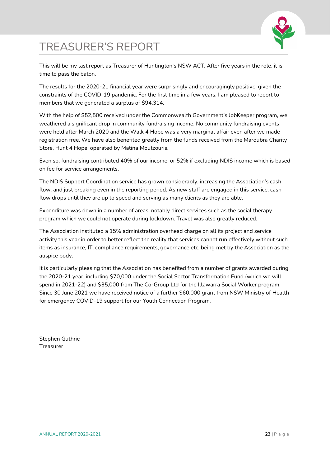

# <span id="page-22-0"></span>TREASURER'S REPORT

This will be my last report as Treasurer of Huntington's NSW ACT. After five years in the role, it is time to pass the baton.

The results for the 2020-21 financial year were surprisingly and encouragingly positive, given the constraints of the COVID-19 pandemic. For the first time in a few years, I am pleased to report to members that we generated a surplus of \$94,314.

With the help of \$52,500 received under the Commonwealth Government's JobKeeper program, we weathered a significant drop in community fundraising income. No community fundraising events were held after March 2020 and the Walk 4 Hope was a very marginal affair even after we made registration free. We have also benefited greatly from the funds received from the Maroubra Charity Store, Hunt 4 Hope, operated by Matina Moutzouris.

Even so, fundraising contributed 40% of our income, or 52% if excluding NDIS income which is based on fee for service arrangements.

The NDIS Support Coordination service has grown considerably, increasing the Association's cash flow, and just breaking even in the reporting period. As new staff are engaged in this service, cash flow drops until they are up to speed and serving as many clients as they are able.

Expenditure was down in a number of areas, notably direct services such as the social therapy program which we could not operate during lockdown. Travel was also greatly reduced.

The Association instituted a 15% administration overhead charge on all its project and service activity this year in order to better reflect the reality that services cannot run effectively without such items as insurance, IT, compliance requirements, governance etc. being met by the Association as the auspice body.

It is particularly pleasing that the Association has benefited from a number of grants awarded during the 2020-21 year, including \$70,000 under the Social Sector Transformation Fund (which we will spend in 2021-22) and \$35,000 from The Co-Group Ltd for the Illawarra Social Worker program. Since 30 June 2021 we have received notice of a further \$60,000 grant from NSW Ministry of Health for emergency COVID-19 support for our Youth Connection Program.

Stephen Guthrie Treasurer